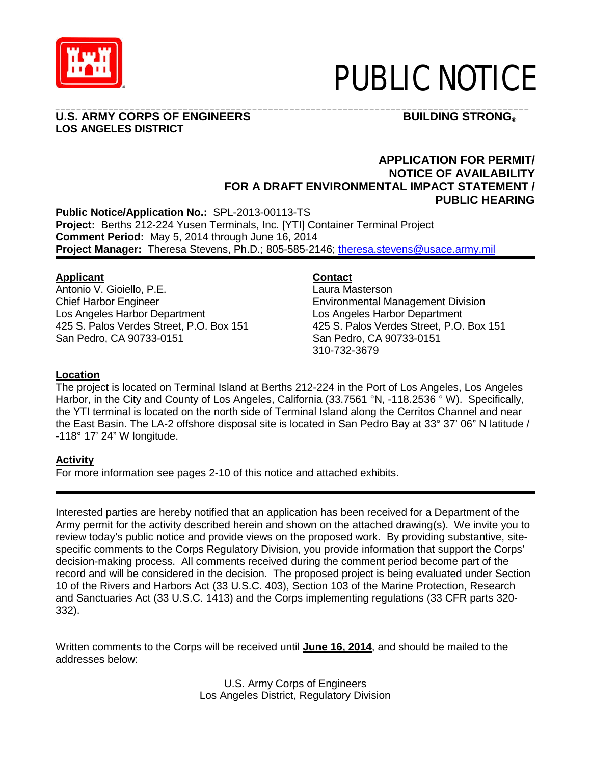

# PUBLIC NOTICE

# **U.S. ARMY CORPS OF ENGINEERS FOR EXAMPLE IN THE BUILDING STRONG® LOS ANGELES DISTRICT**

# \_\_\_\_\_\_\_\_\_\_\_\_\_\_\_\_\_\_\_\_\_\_\_\_\_\_\_\_\_\_\_\_\_\_\_\_\_\_\_\_\_\_\_\_\_\_\_\_\_\_\_\_\_\_\_\_\_\_\_\_\_\_\_\_\_\_\_\_\_\_\_\_\_\_\_\_\_\_\_\_\_\_\_\_\_\_\_\_\_

# **APPLICATION FOR PERMIT/ NOTICE OF AVAILABILITY FOR A DRAFT ENVIRONMENTAL IMPACT STATEMENT / PUBLIC HEARING**

**Public Notice/Application No.:** SPL-2013-00113-TS **Project:** Berths 212-224 Yusen Terminals, Inc. [YTI] Container Terminal Project **Comment Period:** May 5, 2014 through June 16, 2014 Project Manager: Theresa Stevens, Ph.D.; 805-585-2146; [theresa.stevens@usace.army.mil](mailto:theresa.stevens@usace.army.mil)

# **Applicant**

Antonio V. Gioiello, P.E. Chief Harbor Engineer Los Angeles Harbor Department 425 S. Palos Verdes Street, P.O. Box 151 San Pedro, CA 90733-0151

# **Contact**

Laura Masterson Environmental Management Division Los Angeles Harbor Department 425 S. Palos Verdes Street, P.O. Box 151 San Pedro, CA 90733-0151 310-732-3679

# **Location**

The project is located on Terminal Island at Berths 212-224 in the Port of Los Angeles, Los Angeles Harbor, in the City and County of Los Angeles, California (33.7561 °N, -118.2536 ° W). Specifically, the YTI terminal is located on the north side of Terminal Island along the Cerritos Channel and near the East Basin. The LA-2 offshore disposal site is located in San Pedro Bay at 33° 37' 06" N latitude / -118° 17' 24" W longitude.

# **Activity**

For more information see pages 2-10 of this notice and attached exhibits.

Interested parties are hereby notified that an application has been received for a Department of the Army permit for the activity described herein and shown on the attached drawing(s). We invite you to review today's public notice and provide views on the proposed work. By providing substantive, sitespecific comments to the Corps Regulatory Division, you provide information that support the Corps' decision-making process. All comments received during the comment period become part of the record and will be considered in the decision. The proposed project is being evaluated under Section 10 of the Rivers and Harbors Act (33 U.S.C. 403), Section 103 of the Marine Protection, Research and Sanctuaries Act (33 U.S.C. 1413) and the Corps implementing regulations (33 CFR parts 320- 332).

Written comments to the Corps will be received until **June 16, 2014**, and should be mailed to the addresses below:

> U.S. Army Corps of Engineers Los Angeles District, Regulatory Division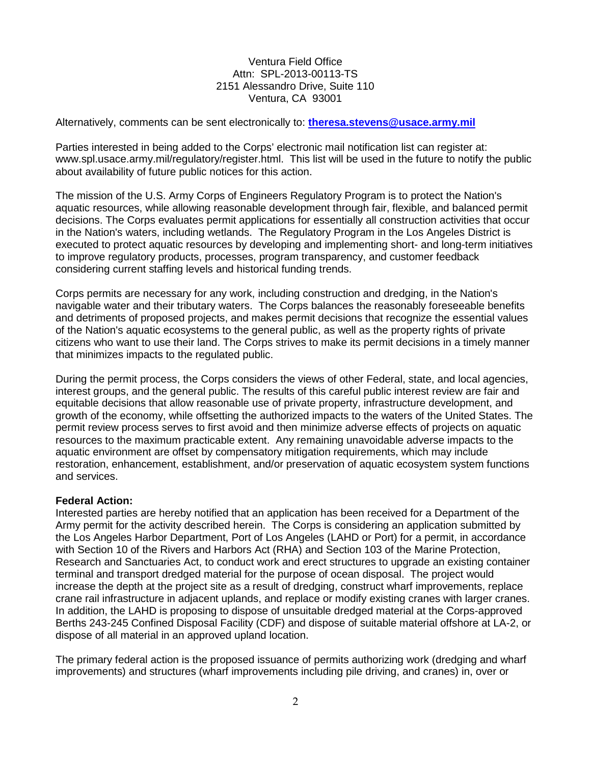#### Ventura Field Office Attn: SPL-2013-00113-TS 2151 Alessandro Drive, Suite 110 Ventura, CA 93001

Alternatively, comments can be sent electronically to: **[theresa.stevens@usace.army.mil](mailto:theresa.stevens@usace.army.mil)**

Parties interested in being added to the Corps' electronic mail notification list can register at: www.spl.usace.army.mil/regulatory/register.html. This list will be used in the future to notify the public about availability of future public notices for this action.

The mission of the U.S. Army Corps of Engineers Regulatory Program is to protect the Nation's aquatic resources, while allowing reasonable development through fair, flexible, and balanced permit decisions. The Corps evaluates permit applications for essentially all construction activities that occur in the Nation's waters, including wetlands. The Regulatory Program in the Los Angeles District is executed to protect aquatic resources by developing and implementing short- and long-term initiatives to improve regulatory products, processes, program transparency, and customer feedback considering current staffing levels and historical funding trends.

Corps permits are necessary for any work, including construction and dredging, in the Nation's navigable water and their tributary waters. The Corps balances the reasonably foreseeable benefits and detriments of proposed projects, and makes permit decisions that recognize the essential values of the Nation's aquatic ecosystems to the general public, as well as the property rights of private citizens who want to use their land. The Corps strives to make its permit decisions in a timely manner that minimizes impacts to the regulated public.

During the permit process, the Corps considers the views of other Federal, state, and local agencies, interest groups, and the general public. The results of this careful public interest review are fair and equitable decisions that allow reasonable use of private property, infrastructure development, and growth of the economy, while offsetting the authorized impacts to the waters of the United States. The permit review process serves to first avoid and then minimize adverse effects of projects on aquatic resources to the maximum practicable extent. Any remaining unavoidable adverse impacts to the aquatic environment are offset by compensatory mitigation requirements, which may include restoration, enhancement, establishment, and/or preservation of aquatic ecosystem system functions and services.

#### **Federal Action:**

Interested parties are hereby notified that an application has been received for a Department of the Army permit for the activity described herein. The Corps is considering an application submitted by the Los Angeles Harbor Department, Port of Los Angeles (LAHD or Port) for a permit, in accordance with Section 10 of the Rivers and Harbors Act (RHA) and Section 103 of the Marine Protection, Research and Sanctuaries Act, to conduct work and erect structures to upgrade an existing container terminal and transport dredged material for the purpose of ocean disposal. The project would increase the depth at the project site as a result of dredging, construct wharf improvements, replace crane rail infrastructure in adjacent uplands, and replace or modify existing cranes with larger cranes. In addition, the LAHD is proposing to dispose of unsuitable dredged material at the Corps-approved Berths 243-245 Confined Disposal Facility (CDF) and dispose of suitable material offshore at LA-2, or dispose of all material in an approved upland location.

The primary federal action is the proposed issuance of permits authorizing work (dredging and wharf improvements) and structures (wharf improvements including pile driving, and cranes) in, over or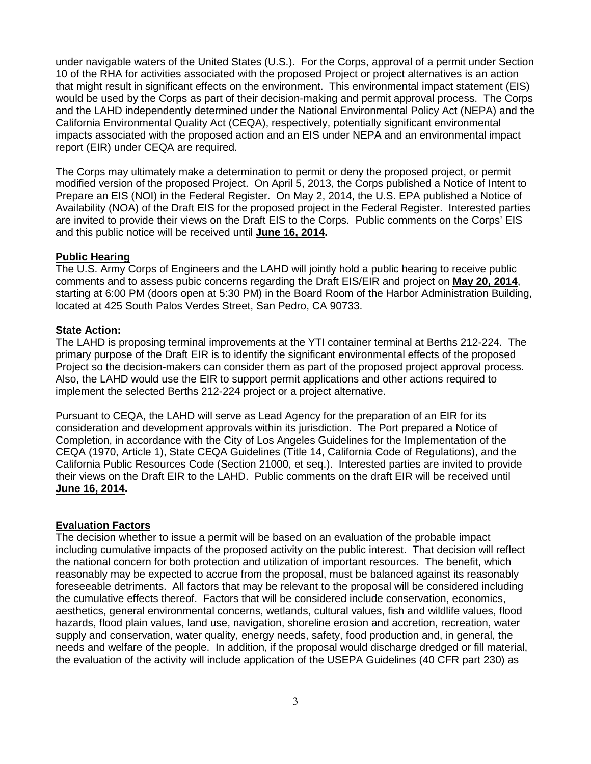under navigable waters of the United States (U.S.). For the Corps, approval of a permit under Section 10 of the RHA for activities associated with the proposed Project or project alternatives is an action that might result in significant effects on the environment. This environmental impact statement (EIS) would be used by the Corps as part of their decision-making and permit approval process. The Corps and the LAHD independently determined under the National Environmental Policy Act (NEPA) and the California Environmental Quality Act (CEQA), respectively, potentially significant environmental impacts associated with the proposed action and an EIS under NEPA and an environmental impact report (EIR) under CEQA are required.

The Corps may ultimately make a determination to permit or deny the proposed project, or permit modified version of the proposed Project. On April 5, 2013, the Corps published a Notice of Intent to Prepare an EIS (NOI) in the Federal Register. On May 2, 2014, the U.S. EPA published a Notice of Availability (NOA) of the Draft EIS for the proposed project in the Federal Register. Interested parties are invited to provide their views on the Draft EIS to the Corps. Public comments on the Corps' EIS and this public notice will be received until **June 16, 2014.**

#### **Public Hearing**

The U.S. Army Corps of Engineers and the LAHD will jointly hold a public hearing to receive public comments and to assess pubic concerns regarding the Draft EIS/EIR and project on **May 20, 2014**, starting at 6:00 PM (doors open at 5:30 PM) in the Board Room of the Harbor Administration Building, located at 425 South Palos Verdes Street, San Pedro, CA 90733.

#### **State Action:**

The LAHD is proposing terminal improvements at the YTI container terminal at Berths 212-224. The primary purpose of the Draft EIR is to identify the significant environmental effects of the proposed Project so the decision-makers can consider them as part of the proposed project approval process. Also, the LAHD would use the EIR to support permit applications and other actions required to implement the selected Berths 212-224 project or a project alternative.

Pursuant to CEQA, the LAHD will serve as Lead Agency for the preparation of an EIR for its consideration and development approvals within its jurisdiction. The Port prepared a Notice of Completion, in accordance with the City of Los Angeles Guidelines for the Implementation of the CEQA (1970, Article 1), State CEQA Guidelines (Title 14, California Code of Regulations), and the California Public Resources Code (Section 21000, et seq.). Interested parties are invited to provide their views on the Draft EIR to the LAHD. Public comments on the draft EIR will be received until **June 16, 2014.**

## **Evaluation Factors**

The decision whether to issue a permit will be based on an evaluation of the probable impact including cumulative impacts of the proposed activity on the public interest. That decision will reflect the national concern for both protection and utilization of important resources. The benefit, which reasonably may be expected to accrue from the proposal, must be balanced against its reasonably foreseeable detriments. All factors that may be relevant to the proposal will be considered including the cumulative effects thereof. Factors that will be considered include conservation, economics, aesthetics, general environmental concerns, wetlands, cultural values, fish and wildlife values, flood hazards, flood plain values, land use, navigation, shoreline erosion and accretion, recreation, water supply and conservation, water quality, energy needs, safety, food production and, in general, the needs and welfare of the people. In addition, if the proposal would discharge dredged or fill material, the evaluation of the activity will include application of the USEPA Guidelines (40 CFR part 230) as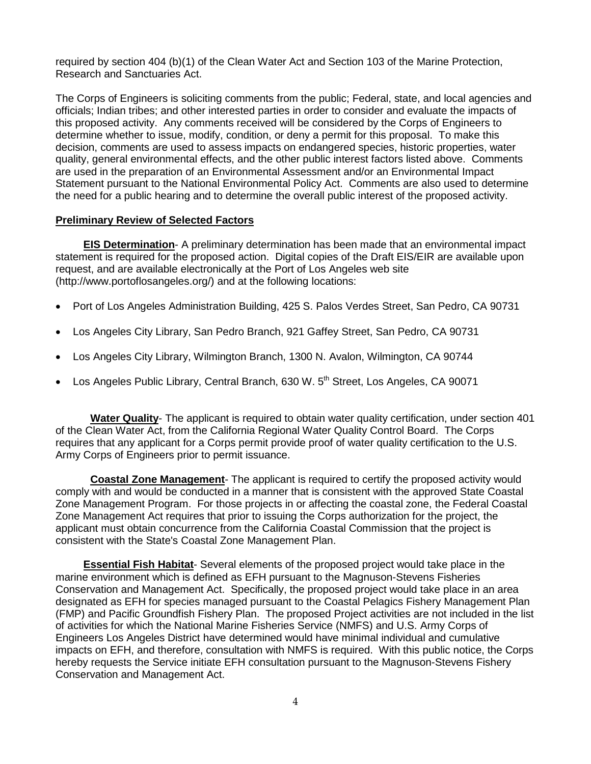required by section 404 (b)(1) of the Clean Water Act and Section 103 of the Marine Protection, Research and Sanctuaries Act.

The Corps of Engineers is soliciting comments from the public; Federal, state, and local agencies and officials; Indian tribes; and other interested parties in order to consider and evaluate the impacts of this proposed activity. Any comments received will be considered by the Corps of Engineers to determine whether to issue, modify, condition, or deny a permit for this proposal. To make this decision, comments are used to assess impacts on endangered species, historic properties, water quality, general environmental effects, and the other public interest factors listed above. Comments are used in the preparation of an Environmental Assessment and/or an Environmental Impact Statement pursuant to the National Environmental Policy Act. Comments are also used to determine the need for a public hearing and to determine the overall public interest of the proposed activity.

#### **Preliminary Review of Selected Factors**

**EIS Determination**- A preliminary determination has been made that an environmental impact statement is required for the proposed action. Digital copies of the Draft EIS/EIR are available upon request, and are available electronically at the Port of Los Angeles web site (http://www.portoflosangeles.org/) and at the following locations:

- Port of Los Angeles Administration Building, 425 S. Palos Verdes Street, San Pedro, CA 90731
- Los Angeles City Library, San Pedro Branch, 921 Gaffey Street, San Pedro, CA 90731
- Los Angeles City Library, Wilmington Branch, 1300 N. Avalon, Wilmington, CA 90744
- Los Angeles Public Library, Central Branch, 630 W.  $5<sup>th</sup>$  Street, Los Angeles, CA 90071

**Water Quality**- The applicant is required to obtain water quality certification, under section 401 of the Clean Water Act, from the California Regional Water Quality Control Board. The Corps requires that any applicant for a Corps permit provide proof of water quality certification to the U.S. Army Corps of Engineers prior to permit issuance.

**Coastal Zone Management**- The applicant is required to certify the proposed activity would comply with and would be conducted in a manner that is consistent with the approved State Coastal Zone Management Program. For those projects in or affecting the coastal zone, the Federal Coastal Zone Management Act requires that prior to issuing the Corps authorization for the project, the applicant must obtain concurrence from the California Coastal Commission that the project is consistent with the State's Coastal Zone Management Plan.

**Essential Fish Habitat**- Several elements of the proposed project would take place in the marine environment which is defined as EFH pursuant to the Magnuson-Stevens Fisheries Conservation and Management Act. Specifically, the proposed project would take place in an area designated as EFH for species managed pursuant to the Coastal Pelagics Fishery Management Plan (FMP) and Pacific Groundfish Fishery Plan. The proposed Project activities are not included in the list of activities for which the National Marine Fisheries Service (NMFS) and U.S. Army Corps of Engineers Los Angeles District have determined would have minimal individual and cumulative impacts on EFH, and therefore, consultation with NMFS is required. With this public notice, the Corps hereby requests the Service initiate EFH consultation pursuant to the Magnuson-Stevens Fishery Conservation and Management Act.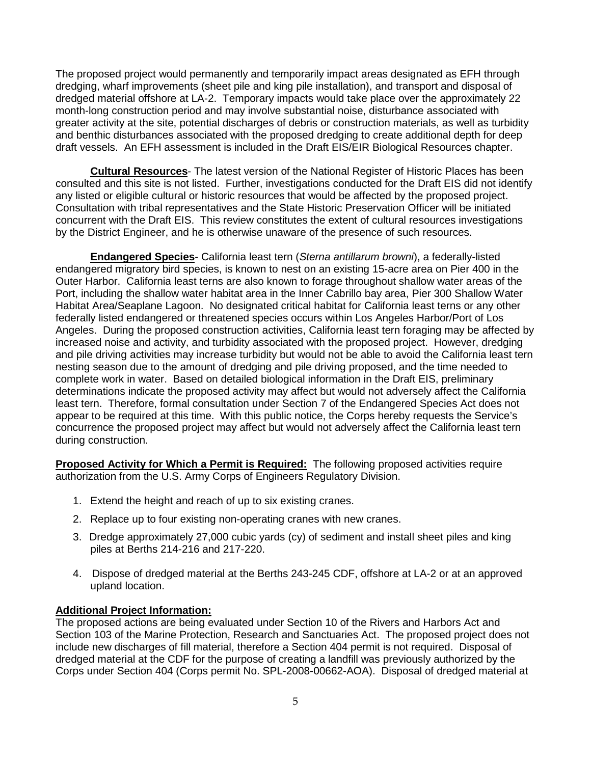The proposed project would permanently and temporarily impact areas designated as EFH through dredging, wharf improvements (sheet pile and king pile installation), and transport and disposal of dredged material offshore at LA-2. Temporary impacts would take place over the approximately 22 month-long construction period and may involve substantial noise, disturbance associated with greater activity at the site, potential discharges of debris or construction materials, as well as turbidity and benthic disturbances associated with the proposed dredging to create additional depth for deep draft vessels. An EFH assessment is included in the Draft EIS/EIR Biological Resources chapter.

**Cultural Resources**- The latest version of the National Register of Historic Places has been consulted and this site is not listed. Further, investigations conducted for the Draft EIS did not identify any listed or eligible cultural or historic resources that would be affected by the proposed project. Consultation with tribal representatives and the State Historic Preservation Officer will be initiated concurrent with the Draft EIS. This review constitutes the extent of cultural resources investigations by the District Engineer, and he is otherwise unaware of the presence of such resources.

**Endangered Species**- California least tern (*Sterna antillarum browni*), a federally-listed endangered migratory bird species, is known to nest on an existing 15-acre area on Pier 400 in the Outer Harbor. California least terns are also known to forage throughout shallow water areas of the Port, including the shallow water habitat area in the Inner Cabrillo bay area, Pier 300 Shallow Water Habitat Area/Seaplane Lagoon. No designated critical habitat for California least terns or any other federally listed endangered or threatened species occurs within Los Angeles Harbor/Port of Los Angeles. During the proposed construction activities, California least tern foraging may be affected by increased noise and activity, and turbidity associated with the proposed project. However, dredging and pile driving activities may increase turbidity but would not be able to avoid the California least tern nesting season due to the amount of dredging and pile driving proposed, and the time needed to complete work in water. Based on detailed biological information in the Draft EIS, preliminary determinations indicate the proposed activity may affect but would not adversely affect the California least tern. Therefore, formal consultation under Section 7 of the Endangered Species Act does not appear to be required at this time. With this public notice, the Corps hereby requests the Service's concurrence the proposed project may affect but would not adversely affect the California least tern during construction.

**Proposed Activity for Which a Permit is Required:** The following proposed activities require authorization from the U.S. Army Corps of Engineers Regulatory Division.

- 1. Extend the height and reach of up to six existing cranes.
- 2. Replace up to four existing non-operating cranes with new cranes.
- 3. Dredge approximately 27,000 cubic yards (cy) of sediment and install sheet piles and king piles at Berths 214-216 and 217-220.
- 4. Dispose of dredged material at the Berths 243-245 CDF, offshore at LA-2 or at an approved upland location.

#### **Additional Project Information:**

The proposed actions are being evaluated under Section 10 of the Rivers and Harbors Act and Section 103 of the Marine Protection, Research and Sanctuaries Act. The proposed project does not include new discharges of fill material, therefore a Section 404 permit is not required. Disposal of dredged material at the CDF for the purpose of creating a landfill was previously authorized by the Corps under Section 404 (Corps permit No. SPL-2008-00662-AOA). Disposal of dredged material at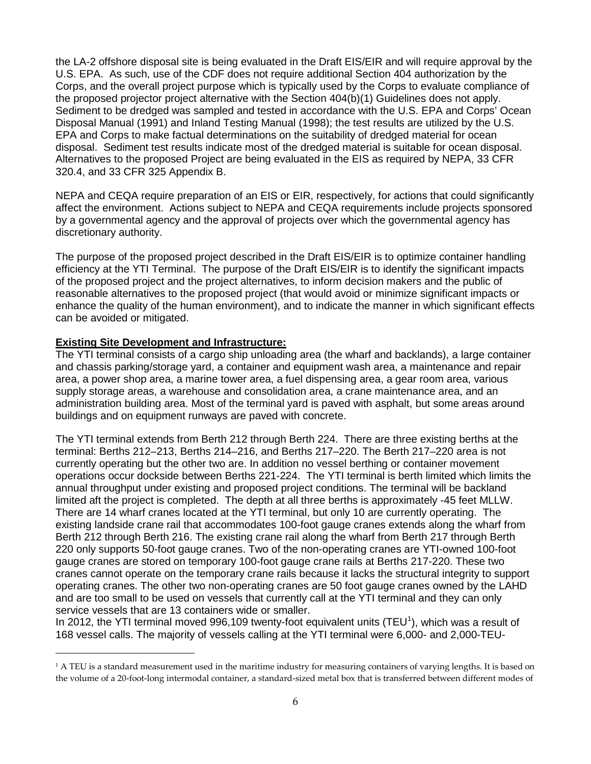the LA-2 offshore disposal site is being evaluated in the Draft EIS/EIR and will require approval by the U.S. EPA. As such, use of the CDF does not require additional Section 404 authorization by the Corps, and the overall project purpose which is typically used by the Corps to evaluate compliance of the proposed projector project alternative with the Section 404(b)(1) Guidelines does not apply. Sediment to be dredged was sampled and tested in accordance with the U.S. EPA and Corps' Ocean Disposal Manual (1991) and Inland Testing Manual (1998); the test results are utilized by the U.S. EPA and Corps to make factual determinations on the suitability of dredged material for ocean disposal. Sediment test results indicate most of the dredged material is suitable for ocean disposal. Alternatives to the proposed Project are being evaluated in the EIS as required by NEPA, 33 CFR 320.4, and 33 CFR 325 Appendix B.

NEPA and CEQA require preparation of an EIS or EIR, respectively, for actions that could significantly affect the environment. Actions subject to NEPA and CEQA requirements include projects sponsored by a governmental agency and the approval of projects over which the governmental agency has discretionary authority.

The purpose of the proposed project described in the Draft EIS/EIR is to optimize container handling efficiency at the YTI Terminal. The purpose of the Draft EIS/EIR is to identify the significant impacts of the proposed project and the project alternatives, to inform decision makers and the public of reasonable alternatives to the proposed project (that would avoid or minimize significant impacts or enhance the quality of the human environment), and to indicate the manner in which significant effects can be avoided or mitigated.

#### **Existing Site Development and Infrastructure:**

÷,

The YTI terminal consists of a cargo ship unloading area (the wharf and backlands), a large container and chassis parking/storage yard, a container and equipment wash area, a maintenance and repair area, a power shop area, a marine tower area, a fuel dispensing area, a gear room area, various supply storage areas, a warehouse and consolidation area, a crane maintenance area, and an administration building area. Most of the terminal yard is paved with asphalt, but some areas around buildings and on equipment runways are paved with concrete.

The YTI terminal extends from Berth 212 through Berth 224. There are three existing berths at the terminal: Berths 212–213, Berths 214–216, and Berths 217–220. The Berth 217–220 area is not currently operating but the other two are. In addition no vessel berthing or container movement operations occur dockside between Berths 221-224. The YTI terminal is berth limited which limits the annual throughput under existing and proposed project conditions. The terminal will be backland limited aft the project is completed. The depth at all three berths is approximately -45 feet MLLW. There are 14 wharf cranes located at the YTI terminal, but only 10 are currently operating. The existing landside crane rail that accommodates 100-foot gauge cranes extends along the wharf from Berth 212 through Berth 216. The existing crane rail along the wharf from Berth 217 through Berth 220 only supports 50-foot gauge cranes. Two of the non-operating cranes are YTI-owned 100-foot gauge cranes are stored on temporary 100-foot gauge crane rails at Berths 217-220. These two cranes cannot operate on the temporary crane rails because it lacks the structural integrity to support operating cranes. The other two non-operating cranes are 50 foot gauge cranes owned by the LAHD and are too small to be used on vessels that currently call at the YTI terminal and they can only service vessels that are 13 containers wide or smaller.

In 20[1](#page-5-0)2, the YTI terminal moved 996,109 twenty-foot equivalent units (TEU<sup>1</sup>), which was a result of 168 vessel calls. The majority of vessels calling at the YTI terminal were 6,000- and 2,000-TEU-

<span id="page-5-0"></span> $1$  A TEU is a standard measurement used in the maritime industry for measuring containers of varying lengths. It is based on the volume of a 20-foot-long intermodal container, a standard-sized metal box that is transferred between different modes of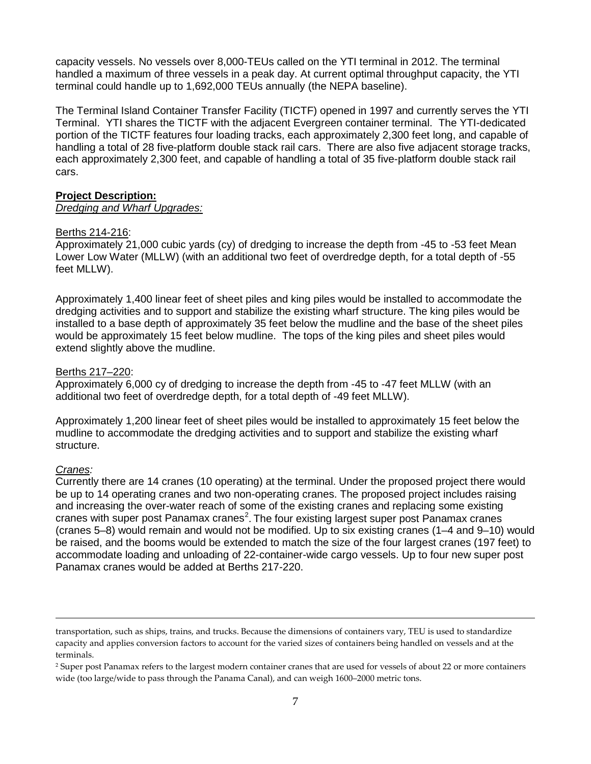capacity vessels. No vessels over 8,000-TEUs called on the YTI terminal in 2012. The terminal handled a maximum of three vessels in a peak day. At current optimal throughput capacity, the YTI terminal could handle up to 1,692,000 TEUs annually (the NEPA baseline).

The Terminal Island Container Transfer Facility (TICTF) opened in 1997 and currently serves the YTI Terminal. YTI shares the TICTF with the adjacent Evergreen container terminal. The YTI-dedicated portion of the TICTF features four loading tracks, each approximately 2,300 feet long, and capable of handling a total of 28 five-platform double stack rail cars. There are also five adjacent storage tracks, each approximately 2,300 feet, and capable of handling a total of 35 five-platform double stack rail cars.

#### **Project Description:**

#### *Dredging and Wharf Upgrades:*

#### Berths 214-216:

Approximately 21,000 cubic yards (cy) of dredging to increase the depth from -45 to -53 feet Mean Lower Low Water (MLLW) (with an additional two feet of overdredge depth, for a total depth of -55 feet MLLW).

Approximately 1,400 linear feet of sheet piles and king piles would be installed to accommodate the dredging activities and to support and stabilize the existing wharf structure. The king piles would be installed to a base depth of approximately 35 feet below the mudline and the base of the sheet piles would be approximately 15 feet below mudline. The tops of the king piles and sheet piles would extend slightly above the mudline.

#### Berths 217–220:

Approximately 6,000 cy of dredging to increase the depth from -45 to -47 feet MLLW (with an additional two feet of overdredge depth, for a total depth of -49 feet MLLW).

Approximately 1,200 linear feet of sheet piles would be installed to approximately 15 feet below the mudline to accommodate the dredging activities and to support and stabilize the existing wharf structure.

## *Cranes:*

i<br>I

Currently there are 14 cranes (10 operating) at the terminal. Under the proposed project there would be up to 14 operating cranes and two non-operating cranes. The proposed project includes raising and increasing the over-water reach of some of the existing cranes and replacing some existing cranes with super post Panamax cranes<sup>[2](#page-6-0)</sup>. The four existing largest super post Panamax cranes (cranes 5–8) would remain and would not be modified. Up to six existing cranes (1–4 and 9–10) would be raised, and the booms would be extended to match the size of the four largest cranes (197 feet) to accommodate loading and unloading of 22-container-wide cargo vessels. Up to four new super post Panamax cranes would be added at Berths 217-220.

transportation, such as ships, trains, and trucks. Because the dimensions of containers vary, TEU is used to standardize capacity and applies conversion factors to account for the varied sizes of containers being handled on vessels and at the terminals.

<span id="page-6-0"></span><sup>&</sup>lt;sup>2</sup> Super post Panamax refers to the largest modern container cranes that are used for vessels of about 22 or more containers wide (too large/wide to pass through the Panama Canal), and can weigh 1600–2000 metric tons.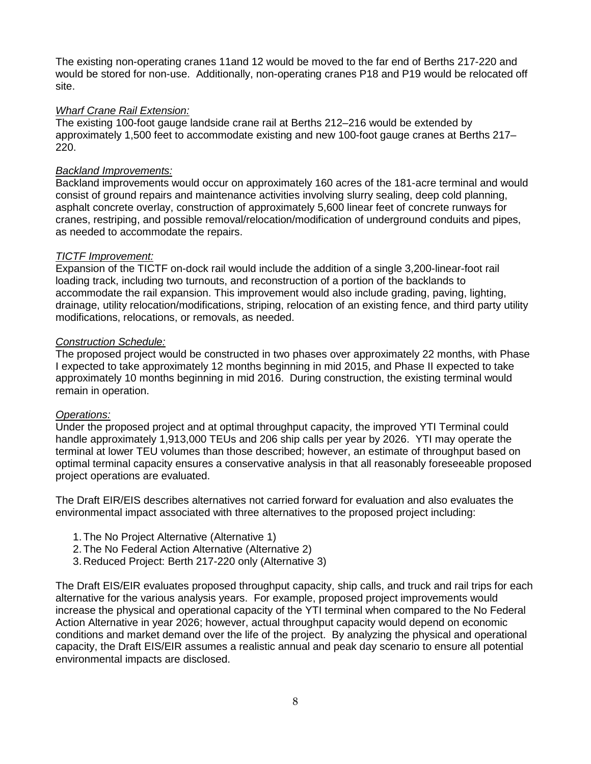The existing non-operating cranes 11and 12 would be moved to the far end of Berths 217-220 and would be stored for non-use. Additionally, non-operating cranes P18 and P19 would be relocated off site.

#### *Wharf Crane Rail Extension:*

The existing 100-foot gauge landside crane rail at Berths 212–216 would be extended by approximately 1,500 feet to accommodate existing and new 100-foot gauge cranes at Berths 217– 220.

#### *Backland Improvements:*

Backland improvements would occur on approximately 160 acres of the 181-acre terminal and would consist of ground repairs and maintenance activities involving slurry sealing, deep cold planning, asphalt concrete overlay, construction of approximately 5,600 linear feet of concrete runways for cranes, restriping, and possible removal/relocation/modification of underground conduits and pipes, as needed to accommodate the repairs.

#### *TICTF Improvement:*

Expansion of the TICTF on-dock rail would include the addition of a single 3,200-linear-foot rail loading track, including two turnouts, and reconstruction of a portion of the backlands to accommodate the rail expansion. This improvement would also include grading, paving, lighting, drainage, utility relocation/modifications, striping, relocation of an existing fence, and third party utility modifications, relocations, or removals, as needed.

#### *Construction Schedule:*

The proposed project would be constructed in two phases over approximately 22 months, with Phase I expected to take approximately 12 months beginning in mid 2015, and Phase II expected to take approximately 10 months beginning in mid 2016. During construction, the existing terminal would remain in operation.

#### *Operations:*

Under the proposed project and at optimal throughput capacity, the improved YTI Terminal could handle approximately 1,913,000 TEUs and 206 ship calls per year by 2026. YTI may operate the terminal at lower TEU volumes than those described; however, an estimate of throughput based on optimal terminal capacity ensures a conservative analysis in that all reasonably foreseeable proposed project operations are evaluated.

The Draft EIR/EIS describes alternatives not carried forward for evaluation and also evaluates the environmental impact associated with three alternatives to the proposed project including:

- 1.The No Project Alternative (Alternative 1)
- 2.The No Federal Action Alternative (Alternative 2)
- 3. Reduced Project: Berth 217-220 only (Alternative 3)

The Draft EIS/EIR evaluates proposed throughput capacity, ship calls, and truck and rail trips for each alternative for the various analysis years. For example, proposed project improvements would increase the physical and operational capacity of the YTI terminal when compared to the No Federal Action Alternative in year 2026; however, actual throughput capacity would depend on economic conditions and market demand over the life of the project. By analyzing the physical and operational capacity, the Draft EIS/EIR assumes a realistic annual and peak day scenario to ensure all potential environmental impacts are disclosed.